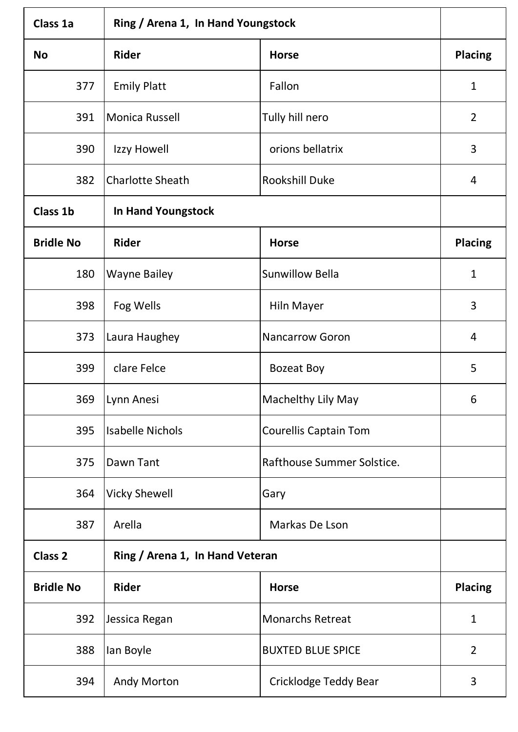| Class 1a         | Ring / Arena 1, In Hand Youngstock |                              |                |
|------------------|------------------------------------|------------------------------|----------------|
| <b>No</b>        | <b>Rider</b>                       | <b>Horse</b>                 | <b>Placing</b> |
| 377              | <b>Emily Platt</b>                 | Fallon                       | $\mathbf{1}$   |
| 391              | Monica Russell                     | Tully hill nero              | $\overline{2}$ |
| 390              | Izzy Howell                        | orions bellatrix             | 3              |
| 382              | <b>Charlotte Sheath</b>            | <b>Rookshill Duke</b>        | 4              |
| <b>Class 1b</b>  | <b>In Hand Youngstock</b>          |                              |                |
| <b>Bridle No</b> | <b>Rider</b>                       | <b>Horse</b>                 | <b>Placing</b> |
| 180              | <b>Wayne Bailey</b>                | <b>Sunwillow Bella</b>       | $\mathbf{1}$   |
| 398              | Fog Wells                          | Hiln Mayer                   | 3              |
| 373              | Laura Haughey                      | <b>Nancarrow Goron</b>       | 4              |
| 399              | clare Felce                        | <b>Bozeat Boy</b>            | 5              |
|                  | 369   Lynn Anesi                   | Machelthy Lily May           | 6              |
| 395              | <b>Isabelle Nichols</b>            | <b>Courellis Captain Tom</b> |                |
| 375              | Dawn Tant                          | Rafthouse Summer Solstice.   |                |
| 364              | <b>Vicky Shewell</b>               | Gary                         |                |
| 387              | Arella                             | Markas De Lson               |                |
| <b>Class 2</b>   | Ring / Arena 1, In Hand Veteran    |                              |                |
| <b>Bridle No</b> | <b>Rider</b>                       | <b>Horse</b>                 | <b>Placing</b> |
| 392              | Jessica Regan                      | <b>Monarchs Retreat</b>      | $\mathbf{1}$   |
| 388              | lan Boyle                          | <b>BUXTED BLUE SPICE</b>     | $\overline{2}$ |
| 394              | Andy Morton                        | Cricklodge Teddy Bear        | 3              |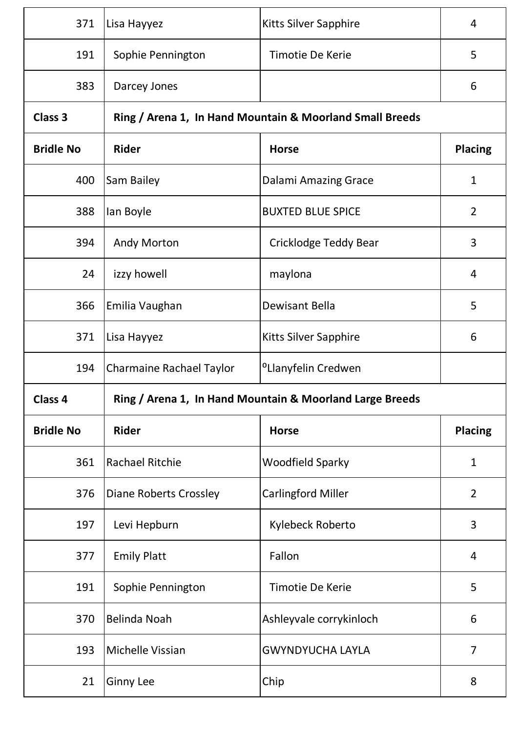| 371              | Lisa Hayyez                     | <b>Kitts Silver Sapphire</b>                             | 4              |
|------------------|---------------------------------|----------------------------------------------------------|----------------|
| 191              | Sophie Pennington               | <b>Timotie De Kerie</b>                                  | 5              |
| 383              | Darcey Jones                    |                                                          | 6              |
| Class 3          |                                 | Ring / Arena 1, In Hand Mountain & Moorland Small Breeds |                |
| <b>Bridle No</b> | <b>Rider</b>                    | <b>Horse</b>                                             | <b>Placing</b> |
| 400              | Sam Bailey                      | <b>Dalami Amazing Grace</b>                              | $\mathbf{1}$   |
| 388              | lan Boyle                       | <b>BUXTED BLUE SPICE</b>                                 | $\overline{2}$ |
| 394              | <b>Andy Morton</b>              | Cricklodge Teddy Bear                                    | 3              |
| 24               | izzy howell                     | maylona                                                  | 4              |
| 366              | Emilia Vaughan                  | Dewisant Bella                                           | 5              |
| 371              | Lisa Hayyez                     | <b>Kitts Silver Sapphire</b>                             | 6              |
| 194              | <b>Charmaine Rachael Taylor</b> | <sup>o</sup> Llanyfelin Credwen                          |                |
| Class 4          |                                 | Ring / Arena 1, In Hand Mountain & Moorland Large Breeds |                |
| <b>Bridle No</b> | <b>Rider</b>                    | <b>Horse</b>                                             | <b>Placing</b> |
| 361              | Rachael Ritchie                 | <b>Woodfield Sparky</b>                                  | $\mathbf{1}$   |
| 376              | <b>Diane Roberts Crossley</b>   | <b>Carlingford Miller</b>                                | $\overline{2}$ |
| 197              | Levi Hepburn                    | Kylebeck Roberto                                         | 3              |
| 377              | <b>Emily Platt</b>              | Fallon                                                   | 4              |
| 191              | Sophie Pennington               | Timotie De Kerie                                         | 5              |
| 370              | Belinda Noah                    | Ashleyvale corrykinloch                                  | 6              |
| 193              | Michelle Vissian                | <b>GWYNDYUCHA LAYLA</b>                                  | $\overline{7}$ |
| 21               | <b>Ginny Lee</b>                | Chip                                                     | 8              |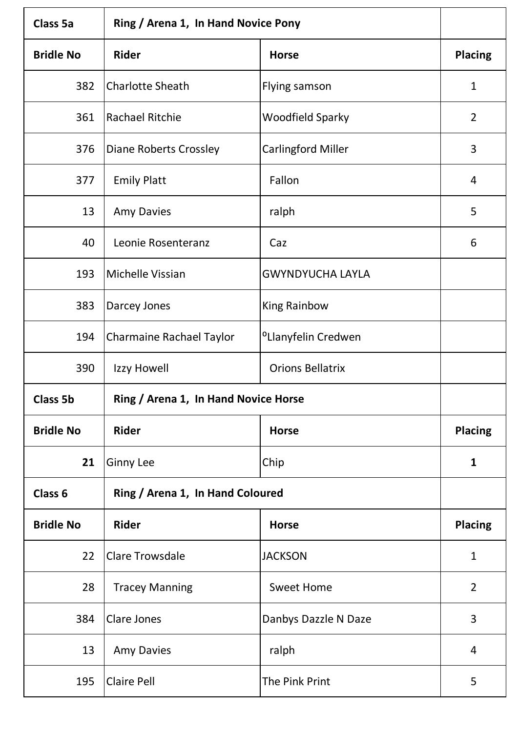| <b>Class 5a</b>  | Ring / Arena 1, In Hand Novice Pony  |                                 |                |
|------------------|--------------------------------------|---------------------------------|----------------|
| <b>Bridle No</b> | <b>Rider</b>                         | <b>Horse</b>                    | <b>Placing</b> |
| 382              | <b>Charlotte Sheath</b>              | Flying samson                   | $\mathbf{1}$   |
| 361              | Rachael Ritchie                      | <b>Woodfield Sparky</b>         | $\overline{2}$ |
| 376              | <b>Diane Roberts Crossley</b>        | <b>Carlingford Miller</b>       | 3              |
| 377              | <b>Emily Platt</b>                   | Fallon                          | 4              |
| 13               | <b>Amy Davies</b>                    | ralph                           | 5              |
| 40               | Leonie Rosenteranz                   | Caz                             | 6              |
| 193              | Michelle Vissian                     | <b>GWYNDYUCHA LAYLA</b>         |                |
| 383              | Darcey Jones                         | <b>King Rainbow</b>             |                |
| 194              | <b>Charmaine Rachael Taylor</b>      | <sup>o</sup> Llanyfelin Credwen |                |
| 390              | Izzy Howell                          | <b>Orions Bellatrix</b>         |                |
| <b>Class 5b</b>  | Ring / Arena 1, In Hand Novice Horse |                                 |                |
| <b>Bridle No</b> | <b>Rider</b>                         | <b>Horse</b>                    | <b>Placing</b> |
| 21               | <b>Ginny Lee</b>                     | Chip                            | $\mathbf{1}$   |
| Class 6          | Ring / Arena 1, In Hand Coloured     |                                 |                |
| <b>Bridle No</b> | <b>Rider</b>                         | <b>Horse</b>                    | <b>Placing</b> |
| 22               | <b>Clare Trowsdale</b>               | <b>JACKSON</b>                  | $\mathbf{1}$   |
| 28               | <b>Tracey Manning</b>                | <b>Sweet Home</b>               | $\overline{2}$ |
| 384              | Clare Jones                          | Danbys Dazzle N Daze            | 3              |
| 13               | <b>Amy Davies</b>                    | ralph                           | 4              |
| 195              | <b>Claire Pell</b>                   | The Pink Print                  | 5              |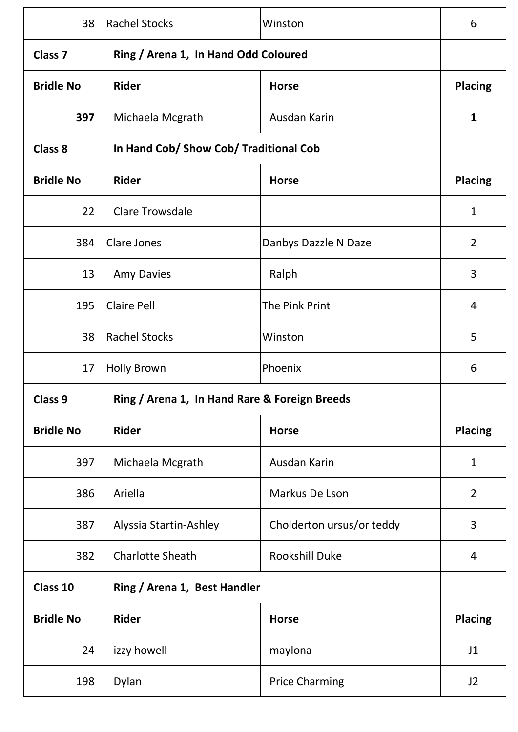| 38                 | <b>Rachel Stocks</b>                          | Winston                   | 6              |
|--------------------|-----------------------------------------------|---------------------------|----------------|
| Class <sub>7</sub> | Ring / Arena 1, In Hand Odd Coloured          |                           |                |
| <b>Bridle No</b>   | <b>Rider</b>                                  | <b>Horse</b>              | <b>Placing</b> |
| 397                | Michaela Mcgrath                              | Ausdan Karin              | 1              |
| <b>Class 8</b>     | In Hand Cob/ Show Cob/ Traditional Cob        |                           |                |
| <b>Bridle No</b>   | <b>Rider</b>                                  | <b>Horse</b>              | <b>Placing</b> |
| 22                 | <b>Clare Trowsdale</b>                        |                           | $\mathbf{1}$   |
| 384                | <b>Clare Jones</b>                            | Danbys Dazzle N Daze      | $\overline{2}$ |
| 13                 | <b>Amy Davies</b>                             | Ralph                     | 3              |
| 195                | <b>Claire Pell</b>                            | The Pink Print            | 4              |
| 38                 | <b>Rachel Stocks</b>                          | Winston                   | 5              |
| 17                 | <b>Holly Brown</b>                            | Phoenix                   | 6              |
| Class 9            | Ring / Arena 1, In Hand Rare & Foreign Breeds |                           |                |
| <b>Bridle No</b>   | <b>Rider</b>                                  | <b>Horse</b>              | <b>Placing</b> |
| 397                | Michaela Mcgrath                              | Ausdan Karin              | $\mathbf{1}$   |
| 386                | Ariella                                       | Markus De Lson            | $\overline{2}$ |
| 387                | Alyssia Startin-Ashley                        | Cholderton ursus/or teddy | 3              |
| 382                | <b>Charlotte Sheath</b>                       | Rookshill Duke            | 4              |
| Class 10           | Ring / Arena 1, Best Handler                  |                           |                |
| <b>Bridle No</b>   | <b>Rider</b>                                  | <b>Horse</b>              | <b>Placing</b> |
| 24                 | izzy howell                                   | maylona                   | J1             |
| 198                | Dylan                                         | <b>Price Charming</b>     | J <sub>2</sub> |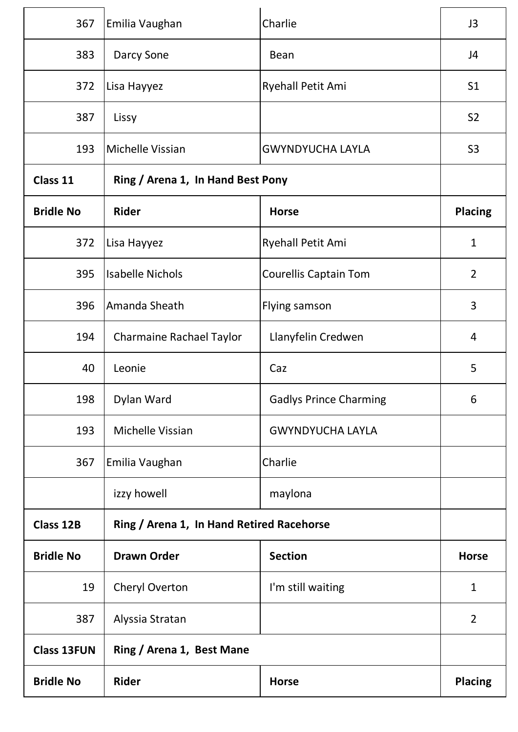| 367                | Emilia Vaughan                            | Charlie                       | J3             |
|--------------------|-------------------------------------------|-------------------------------|----------------|
| 383                | Darcy Sone                                | <b>Bean</b>                   | J <sub>4</sub> |
| 372                | Lisa Hayyez                               | <b>Ryehall Petit Ami</b>      | S <sub>1</sub> |
| 387                | Lissy                                     |                               | S <sub>2</sub> |
| 193                | Michelle Vissian                          | <b>GWYNDYUCHA LAYLA</b>       | S <sub>3</sub> |
| Class 11           | Ring / Arena 1, In Hand Best Pony         |                               |                |
| <b>Bridle No</b>   | Rider                                     | <b>Horse</b>                  | <b>Placing</b> |
| 372                | Lisa Hayyez                               | Ryehall Petit Ami             | $\mathbf{1}$   |
| 395                | <b>Isabelle Nichols</b>                   | <b>Courellis Captain Tom</b>  | $\overline{2}$ |
| 396                | Amanda Sheath                             | Flying samson                 | 3              |
| 194                | <b>Charmaine Rachael Taylor</b>           | Llanyfelin Credwen            | 4              |
| 40                 | Leonie                                    | Caz                           | 5              |
| 198                | Dylan Ward                                | <b>Gadlys Prince Charming</b> | 6              |
| 193                | Michelle Vissian                          | <b>GWYNDYUCHA LAYLA</b>       |                |
| 367                | Emilia Vaughan                            | Charlie                       |                |
|                    | izzy howell                               | maylona                       |                |
| <b>Class 12B</b>   | Ring / Arena 1, In Hand Retired Racehorse |                               |                |
| <b>Bridle No</b>   | <b>Drawn Order</b>                        | <b>Section</b>                | <b>Horse</b>   |
| 19                 | Cheryl Overton                            | I'm still waiting             | $\mathbf{1}$   |
| 387                | Alyssia Stratan                           |                               | $\overline{2}$ |
| <b>Class 13FUN</b> | Ring / Arena 1, Best Mane                 |                               |                |
| <b>Bridle No</b>   | <b>Rider</b>                              | <b>Horse</b>                  | <b>Placing</b> |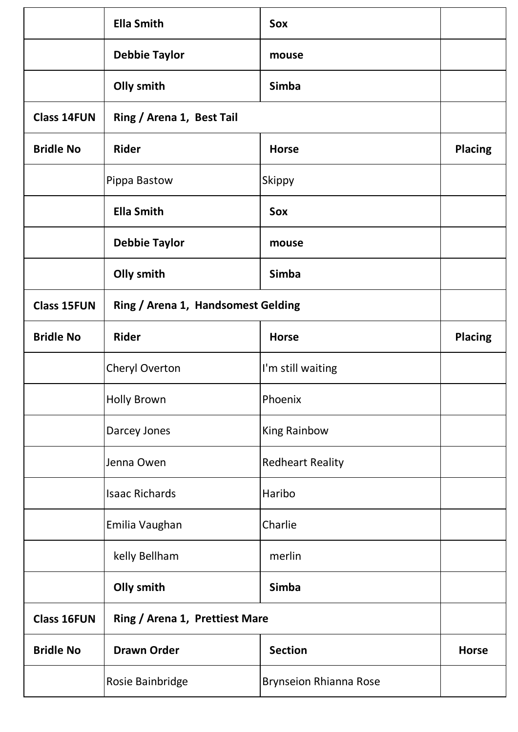|                    | <b>Ella Smith</b>                  | Sox                           |                |
|--------------------|------------------------------------|-------------------------------|----------------|
|                    | <b>Debbie Taylor</b>               | mouse                         |                |
|                    | Olly smith                         | <b>Simba</b>                  |                |
| <b>Class 14FUN</b> | Ring / Arena 1, Best Tail          |                               |                |
| <b>Bridle No</b>   | <b>Rider</b>                       | <b>Horse</b>                  | <b>Placing</b> |
|                    | Pippa Bastow                       | Skippy                        |                |
|                    | <b>Ella Smith</b>                  | Sox                           |                |
|                    | <b>Debbie Taylor</b>               | mouse                         |                |
|                    | Olly smith                         | <b>Simba</b>                  |                |
| <b>Class 15FUN</b> | Ring / Arena 1, Handsomest Gelding |                               |                |
| <b>Bridle No</b>   | <b>Rider</b>                       | <b>Horse</b>                  | <b>Placing</b> |
|                    | Cheryl Overton                     | I'm still waiting             |                |
|                    | <b>Holly Brown</b>                 | Phoenix                       |                |
|                    | Darcey Jones                       | <b>King Rainbow</b>           |                |
|                    | Jenna Owen                         | <b>Redheart Reality</b>       |                |
|                    | <b>Isaac Richards</b>              | Haribo                        |                |
|                    | Emilia Vaughan                     | Charlie                       |                |
|                    | kelly Bellham                      | merlin                        |                |
|                    | Olly smith                         | <b>Simba</b>                  |                |
| <b>Class 16FUN</b> | Ring / Arena 1, Prettiest Mare     |                               |                |
| <b>Bridle No</b>   | <b>Drawn Order</b>                 | <b>Section</b>                | <b>Horse</b>   |
|                    | Rosie Bainbridge                   | <b>Brynseion Rhianna Rose</b> |                |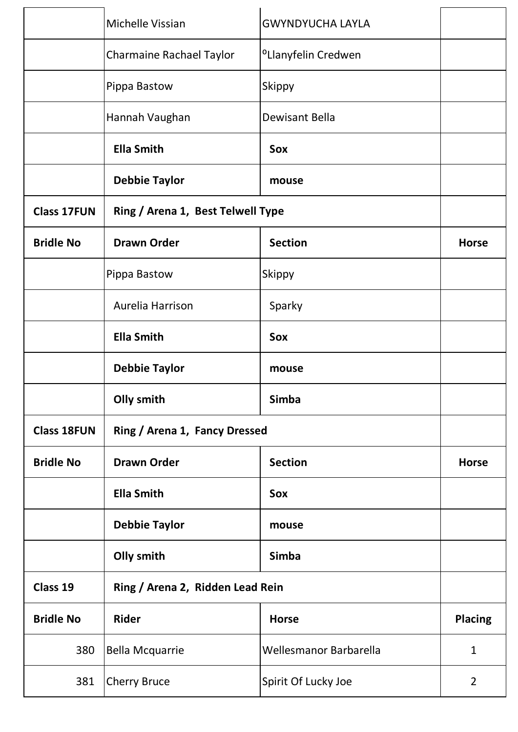|                    | Michelle Vissian                  | <b>GWYNDYUCHA LAYLA</b>         |                |
|--------------------|-----------------------------------|---------------------------------|----------------|
|                    | <b>Charmaine Rachael Taylor</b>   | <sup>o</sup> Llanyfelin Credwen |                |
|                    | Pippa Bastow                      | <b>Skippy</b>                   |                |
|                    | Hannah Vaughan                    | Dewisant Bella                  |                |
|                    | <b>Ella Smith</b>                 | Sox                             |                |
|                    | <b>Debbie Taylor</b>              | mouse                           |                |
| <b>Class 17FUN</b> | Ring / Arena 1, Best Telwell Type |                                 |                |
| <b>Bridle No</b>   | <b>Drawn Order</b>                | <b>Section</b>                  | <b>Horse</b>   |
|                    | Pippa Bastow                      | Skippy                          |                |
|                    | Aurelia Harrison                  | Sparky                          |                |
|                    | <b>Ella Smith</b>                 | Sox                             |                |
|                    | <b>Debbie Taylor</b>              | mouse                           |                |
|                    | Olly smith                        | <b>Simba</b>                    |                |
| <b>Class 18FUN</b> | Ring / Arena 1, Fancy Dressed     |                                 |                |
| <b>Bridle No</b>   | <b>Drawn Order</b>                | <b>Section</b>                  | <b>Horse</b>   |
|                    | <b>Ella Smith</b>                 | Sox                             |                |
|                    | <b>Debbie Taylor</b>              | mouse                           |                |
|                    | Olly smith                        | <b>Simba</b>                    |                |
| Class 19           | Ring / Arena 2, Ridden Lead Rein  |                                 |                |
| <b>Bridle No</b>   | Rider                             | <b>Horse</b>                    | <b>Placing</b> |
| 380                | <b>Bella Mcquarrie</b>            | Wellesmanor Barbarella          | $\mathbf{1}$   |
| 381                | <b>Cherry Bruce</b>               | Spirit Of Lucky Joe             | $\overline{2}$ |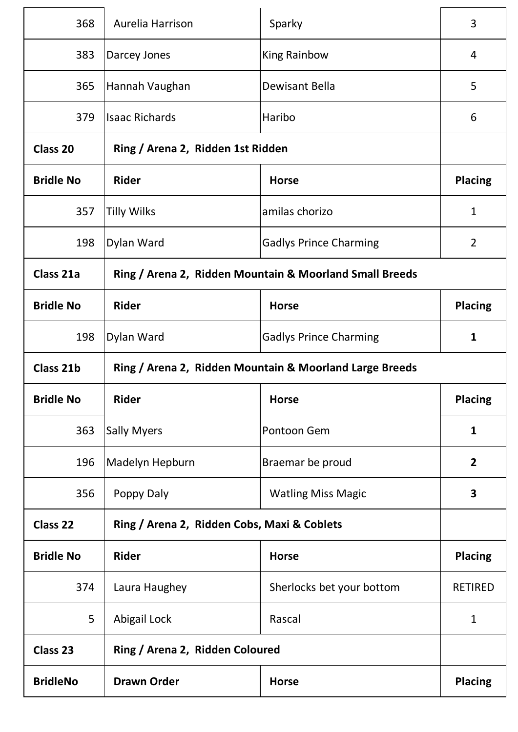| 368              | Aurelia Harrison                                        | Sparky                                                  | 3              |
|------------------|---------------------------------------------------------|---------------------------------------------------------|----------------|
| 383              | Darcey Jones                                            | <b>King Rainbow</b>                                     | 4              |
| 365              | Hannah Vaughan                                          | Dewisant Bella                                          | 5              |
| 379              | <b>Isaac Richards</b>                                   | Haribo                                                  | 6              |
| Class 20         | Ring / Arena 2, Ridden 1st Ridden                       |                                                         |                |
| <b>Bridle No</b> | <b>Rider</b>                                            | <b>Horse</b>                                            | <b>Placing</b> |
| 357              | <b>Tilly Wilks</b>                                      | amilas chorizo                                          | $\mathbf{1}$   |
| 198              | Dylan Ward                                              | <b>Gadlys Prince Charming</b>                           | $\overline{2}$ |
| Class 21a        |                                                         | Ring / Arena 2, Ridden Mountain & Moorland Small Breeds |                |
| <b>Bridle No</b> | <b>Rider</b>                                            | <b>Horse</b>                                            | <b>Placing</b> |
| 198              | Dylan Ward                                              | <b>Gadlys Prince Charming</b>                           | $\mathbf{1}$   |
| Class 21b        | Ring / Arena 2, Ridden Mountain & Moorland Large Breeds |                                                         |                |
| <b>Bridle No</b> | <b>Rider</b>                                            | <b>Horse</b>                                            | <b>Placing</b> |
| 363              | <b>Sally Myers</b>                                      | Pontoon Gem                                             | $\mathbf{1}$   |
| 196              | Madelyn Hepburn                                         | Braemar be proud                                        | $\overline{2}$ |
| 356              |                                                         |                                                         |                |
|                  | Poppy Daly                                              | <b>Watling Miss Magic</b>                               | $\mathbf{3}$   |
| <b>Class 22</b>  | Ring / Arena 2, Ridden Cobs, Maxi & Coblets             |                                                         |                |
| <b>Bridle No</b> | <b>Rider</b>                                            | <b>Horse</b>                                            | <b>Placing</b> |
| 374              | Laura Haughey                                           | Sherlocks bet your bottom                               | <b>RETIRED</b> |
| 5                | Abigail Lock                                            | Rascal                                                  | $\mathbf{1}$   |
| <b>Class 23</b>  | Ring / Arena 2, Ridden Coloured                         |                                                         |                |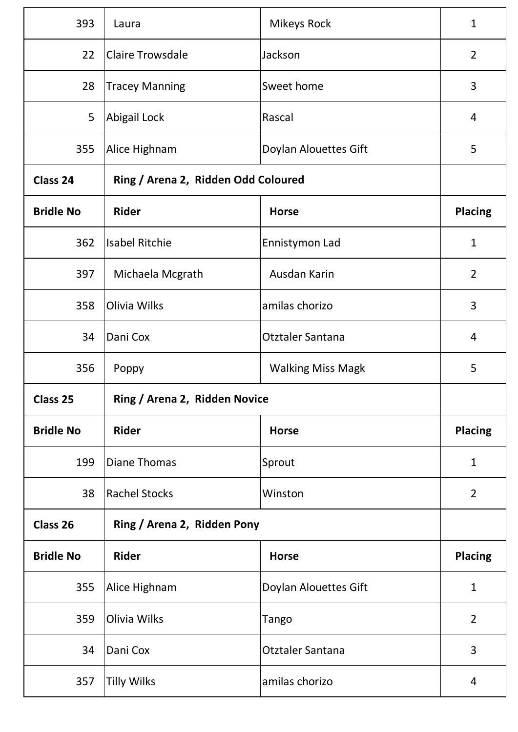| 393              | Laura                               | <b>Mikeys Rock</b>       | $\mathbf{1}$   |
|------------------|-------------------------------------|--------------------------|----------------|
| 22               | <b>Claire Trowsdale</b>             | Jackson                  | $\overline{2}$ |
| 28               | <b>Tracey Manning</b>               | Sweet home               | 3              |
| 5                | Abigail Lock                        | Rascal                   | 4              |
| 355              | Alice Highnam                       | Doylan Alouettes Gift    | 5              |
| Class 24         | Ring / Arena 2, Ridden Odd Coloured |                          |                |
| <b>Bridle No</b> | <b>Rider</b>                        | <b>Horse</b>             | <b>Placing</b> |
| 362              | <b>Isabel Ritchie</b>               | Ennistymon Lad           | $\mathbf{1}$   |
| 397              | Michaela Mcgrath                    | Ausdan Karin             | $\overline{2}$ |
| 358              | Olivia Wilks                        | amilas chorizo           | 3              |
| 34               | Dani Cox                            | <b>Otztaler Santana</b>  | 4              |
| 356              | Poppy                               | <b>Walking Miss Magk</b> | 5              |
| Class 25         | Ring / Arena 2, Ridden Novice       |                          |                |
| <b>Bridle No</b> | Rider                               | <b>Horse</b>             | <b>Placing</b> |
| 199              | <b>Diane Thomas</b>                 | Sprout                   | $\mathbf{1}$   |
| 38               | <b>Rachel Stocks</b>                | Winston                  | $\overline{2}$ |
| Class 26         | Ring / Arena 2, Ridden Pony         |                          |                |
| <b>Bridle No</b> | Rider                               | <b>Horse</b>             | <b>Placing</b> |
| 355              | Alice Highnam                       | Doylan Alouettes Gift    | $\mathbf{1}$   |
| 359              | Olivia Wilks                        | Tango                    | $\overline{2}$ |
| 34               | Dani Cox                            | Otztaler Santana         | 3              |
| 357              | <b>Tilly Wilks</b>                  | amilas chorizo           | 4              |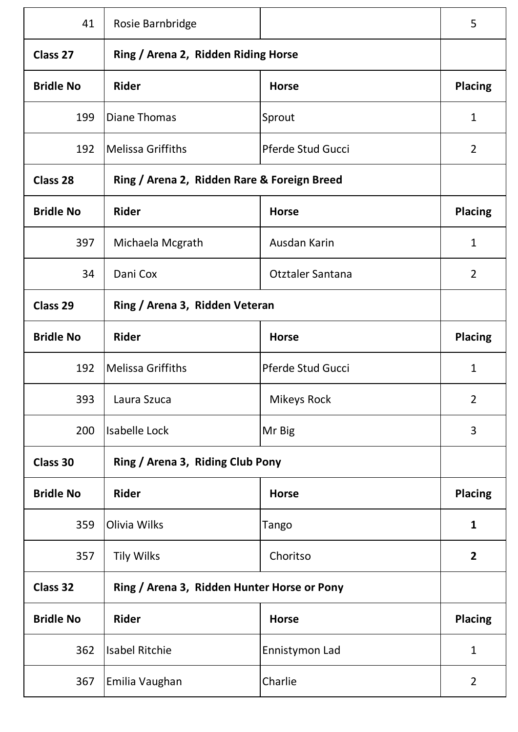| 41               | Rosie Barnbridge                            |                   | 5              |
|------------------|---------------------------------------------|-------------------|----------------|
| Class 27         | Ring / Arena 2, Ridden Riding Horse         |                   |                |
| <b>Bridle No</b> | <b>Rider</b>                                | <b>Horse</b>      | <b>Placing</b> |
| 199              | <b>Diane Thomas</b>                         | Sprout            | $\mathbf{1}$   |
| 192              | <b>Melissa Griffiths</b>                    | Pferde Stud Gucci | 2              |
| <b>Class 28</b>  | Ring / Arena 2, Ridden Rare & Foreign Breed |                   |                |
| <b>Bridle No</b> | <b>Rider</b>                                | <b>Horse</b>      | <b>Placing</b> |
| 397              | Michaela Mcgrath                            | Ausdan Karin      | $\mathbf{1}$   |
| 34               | Dani Cox                                    | Otztaler Santana  | $\overline{2}$ |
| Class 29         | Ring / Arena 3, Ridden Veteran              |                   |                |
| <b>Bridle No</b> | <b>Rider</b>                                | <b>Horse</b>      | <b>Placing</b> |
| 192              | <b>Melissa Griffiths</b>                    | Pferde Stud Gucci | $\mathbf 1$    |
| 393              | Laura Szuca                                 | Mikeys Rock       | $\overline{2}$ |
| 200              | <b>Isabelle Lock</b>                        | Mr Big            | 3              |
| Class 30         | Ring / Arena 3, Riding Club Pony            |                   |                |
| <b>Bridle No</b> | <b>Rider</b>                                | <b>Horse</b>      | <b>Placing</b> |
| 359              | Olivia Wilks                                | Tango             | $\mathbf{1}$   |
| 357              | <b>Tily Wilks</b>                           | Choritso          | $\overline{2}$ |
| <b>Class 32</b>  | Ring / Arena 3, Ridden Hunter Horse or Pony |                   |                |
| <b>Bridle No</b> | Rider                                       | <b>Horse</b>      | <b>Placing</b> |
| 362              | <b>Isabel Ritchie</b>                       | Ennistymon Lad    | $\mathbf{1}$   |
| 367              | Emilia Vaughan                              | Charlie           | $\overline{2}$ |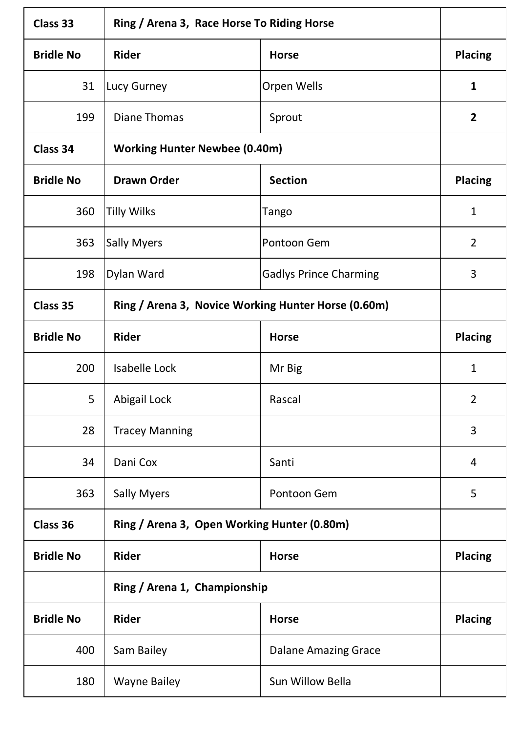| <b>Class 33</b>  | Ring / Arena 3, Race Horse To Riding Horse          |                               |                |
|------------------|-----------------------------------------------------|-------------------------------|----------------|
| <b>Bridle No</b> | <b>Rider</b>                                        | <b>Horse</b>                  | <b>Placing</b> |
| 31               | Lucy Gurney                                         | Orpen Wells                   | 1              |
| 199              | <b>Diane Thomas</b>                                 | Sprout                        | $\overline{2}$ |
| Class 34         | <b>Working Hunter Newbee (0.40m)</b>                |                               |                |
| <b>Bridle No</b> | <b>Drawn Order</b>                                  | <b>Section</b>                | <b>Placing</b> |
| 360              | <b>Tilly Wilks</b>                                  | Tango                         | $\mathbf{1}$   |
| 363              | <b>Sally Myers</b>                                  | Pontoon Gem                   | $\overline{2}$ |
| 198              | Dylan Ward                                          | <b>Gadlys Prince Charming</b> | 3              |
| Class 35         | Ring / Arena 3, Novice Working Hunter Horse (0.60m) |                               |                |
| <b>Bridle No</b> | <b>Rider</b>                                        | <b>Horse</b>                  | <b>Placing</b> |
| 200              | <b>Isabelle Lock</b>                                | Mr Big                        | $\mathbf{1}$   |
| 5                | Abigail Lock                                        | Rascal                        | 2              |
| 28               | <b>Tracey Manning</b>                               |                               | 3              |
| 34               | Dani Cox                                            | Santi                         | 4              |
| 363              | <b>Sally Myers</b>                                  | Pontoon Gem                   | 5              |
| Class 36         | Ring / Arena 3, Open Working Hunter (0.80m)         |                               |                |
| <b>Bridle No</b> | Rider                                               | <b>Horse</b>                  | <b>Placing</b> |
|                  | Ring / Arena 1, Championship                        |                               |                |
| <b>Bridle No</b> | <b>Rider</b>                                        | <b>Horse</b>                  | <b>Placing</b> |
| 400              | Sam Bailey                                          | <b>Dalane Amazing Grace</b>   |                |
| 180              | <b>Wayne Bailey</b>                                 | Sun Willow Bella              |                |